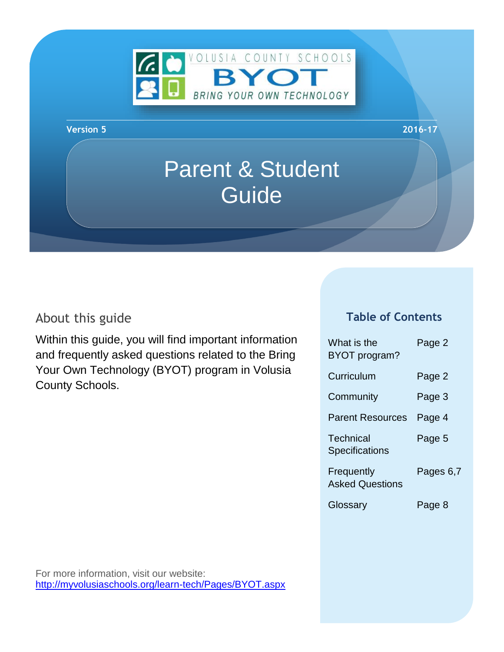

#### **Version 5 2016-17**

# Parent & Student Guide

## About this guide

Within this guide, you will find important information and frequently asked questions related to the Bring Your Own Technology (BYOT) program in Volusia County Schools.

#### **Table of Contents**

| What is the<br>BYOT program?         | Page 2    |
|--------------------------------------|-----------|
| Curriculum                           | Page 2    |
| Community                            | Page 3    |
| <b>Parent Resources</b>              | Page 4    |
| Technical<br><b>Specifications</b>   | Page 5    |
| Frequently<br><b>Asked Questions</b> | Pages 6,7 |
| Glossary                             | Page 8    |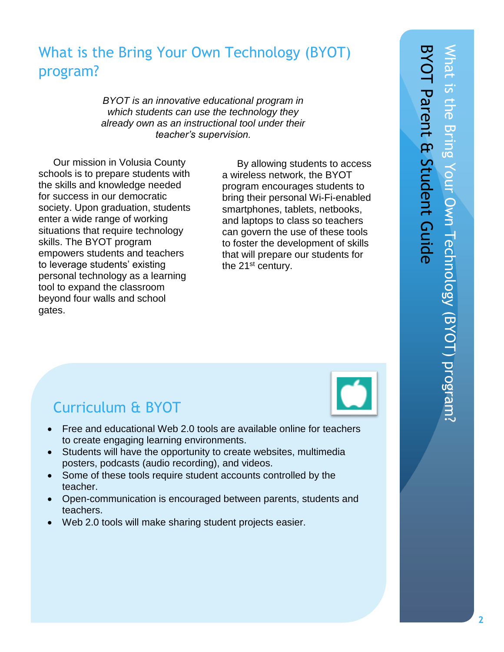## What is the Bring Your Own Technology (BYOT) program?

*BYOT is an innovative educational program in which students can use the technology they already own as an instructional tool under their teacher's supervision.*

Our mission in Volusia County schools is to prepare students with the skills and knowledge needed for success in our democratic society. Upon graduation, students enter a wide range of working situations that require technology skills. The BYOT program empowers students and teachers to leverage students' existing personal technology as a learning tool to expand the classroom beyond four walls and school gates.

By allowing students to access a wireless network, the BYOT program encourages students to bring their personal Wi-Fi-enabled smartphones, tablets, netbooks, and laptops to class so teachers can govern the use of these tools to foster the development of skills that will prepare our students for the 21<sup>st</sup> century.



## Curriculum & BYOT

- Free and educational Web 2.0 tools are available online for teachers to create engaging learning environments.
- Students will have the opportunity to create websites, multimedia posters, podcasts (audio recording), and videos.
- Some of these tools require student accounts controlled by the teacher.
- Open-communication is encouraged between parents, students and teachers.
- Web 2.0 tools will make sharing student projects easier.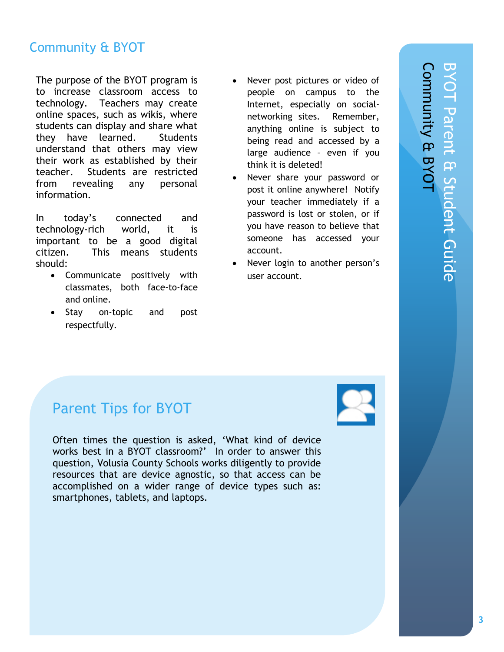## Community & BYOT

The purpose of the BYOT program is to increase classroom access to technology. Teachers may create online spaces, such as wikis, where students can display and share what they have learned. Students understand that others may view their work as established by their teacher. Students are restricted from revealing any personal information.

In today's connected and technology-rich world, it is important to be a good digital citizen. This means students should:

- Communicate positively with classmates, both face-to-face and online.
- Stay on-topic and post respectfully.
- Never post pictures or video of people on campus to the Internet, especially on socialnetworking sites. Remember, anything online is subject to being read and accessed by a large audience – even if you think it is deleted!
- Never share your password or post it online anywhere! Notify your teacher immediately if a password is lost or stolen, or if you have reason to believe that someone has accessed your account.
- Never login to another person's user account.

## Parent Tips for BYOT

Often times the question is asked, 'What kind of device works best in a BYOT classroom?' In order to answer this question, Volusia County Schools works diligently to provide resources that are device agnostic, so that access can be accomplished on a wider range of device types such as: smartphones, tablets, and laptops.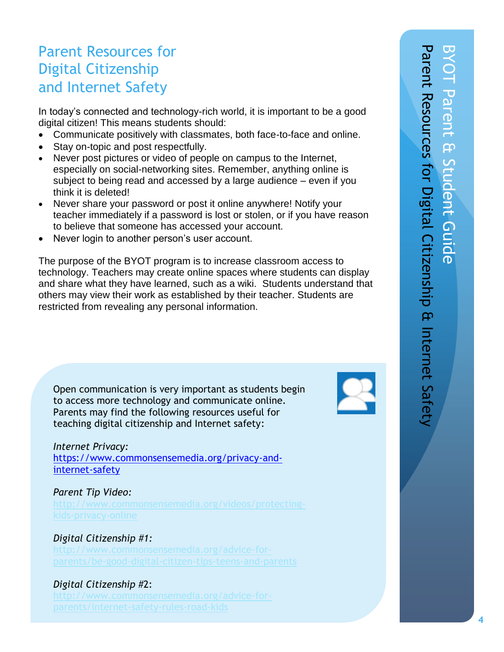## Parent Resources for Digital Citizenship and Internet Safety

In today's connected and technology-rich world, it is important to be a good digital citizen! This means students should:

- Communicate positively with classmates, both face-to-face and online.
- Stay on-topic and post respectfully.
- Never post pictures or video of people on campus to the Internet, especially on social-networking sites. Remember, anything online is subject to being read and accessed by a large audience – even if you think it is deleted!
- Never share your password or post it online anywhere! Notify your teacher immediately if a password is lost or stolen, or if you have reason to believe that someone has accessed your account.
- Never login to another person's user account.

The purpose of the BYOT program is to increase classroom access to technology. Teachers may create online spaces where students can display and share what they have learned, such as a wiki. Students understand that others may view their work as established by their teacher. Students are restricted from revealing any personal information.

Open communication is very important as students begin to access more technology and communicate online. Parents may find the following resources useful for teaching digital citizenship and Internet safety:

#### *Internet Privacy:*

[https://www.commonsensemedia.org/privacy-and](https://www.commonsensemedia.org/privacy-and-internet-safety)[internet-safety](https://www.commonsensemedia.org/privacy-and-internet-safety)

#### *Parent Tip Video:*

#### *Digital Citizenship #1:*

#### *Digital Citizenship* #2:

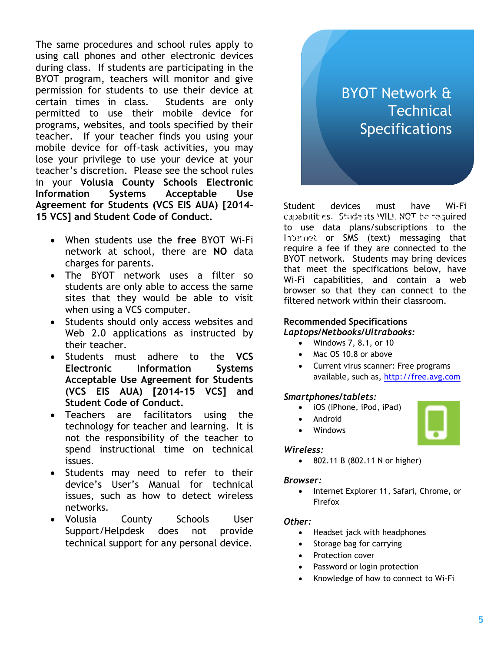The same procedures and school rules apply to using call phones and other electronic devices during class. If students are participating in the BYOT program, teachers will monitor and give permission for students to use their device at certain times in class. Students are only permitted to use their mobile device for programs, websites, and tools specified by their teacher. If your teacher finds you using your mobile device for off-task activities, you may lose your privilege to use your device at your teacher's discretion. Please see the school rules in your **Volusia County Schools Electronic Information Systems Acceptable Use Agreement for Students (VCS EIS AUA) [2014- 15 VCS] and Student Code of Conduct.**

- When students use the **free** BYOT Wi-Fi network at school, there are **NO** data charges for parents.
- The BYOT network uses a filter so students are only able to access the same sites that they would be able to visit when using a VCS computer.
- Students should only access websites and Web 2.0 applications as instructed by their teacher.
- Students must adhere to the **VCS Electronic Information Systems Acceptable Use Agreement for Students (VCS EIS AUA) [2014-15 VCS] and Student Code of Conduct.**
- Teachers are facilitators using the technology for teacher and learning. It is not the responsibility of the teacher to spend instructional time on technical issues.
- Students may need to refer to their device's User's Manual for technical issues, such as how to detect wireless networks.
- Volusia County Schools User Support/Helpdesk does not provide technical support for any personal device.

## BYOT Network & **Technical Specifications**

Student devices must have Wi-Fi capabilities. Students WILL NOT be required<br>to like data plans subscriptions to the to use data plans/subscriptions to the Internet or SMS (text) messaging that require a fee if they are connected to the BYOT network. Students may bring devices that meet the specifications below, have Wi-Fi capabilities, and contain a web browser so that they can connect to the filtered network within their classroom.

#### **Recommended Specifications** *Laptops/Netbooks/Ultrabooks:*

- Windows 7, 8.1, or 10
- Mac OS 10.8 or above
- Current virus scanner: Free programs available, such as, [http://free.avg.com](http://free.avg.com/)

#### *Smartphones/tablets:*

- iOS (iPhone, iPod, iPad)
- Android
- Windows

#### *Wireless:*

802.11 B (802.11 N or higher)

#### *Browser:*

• Internet Explorer 11, Safari, Chrome, or Firefox

#### *Other:*

- Headset jack with headphones
- Storage bag for carrying
- Protection cover
- Password or login protection
- Knowledge of how to connect to Wi-Fi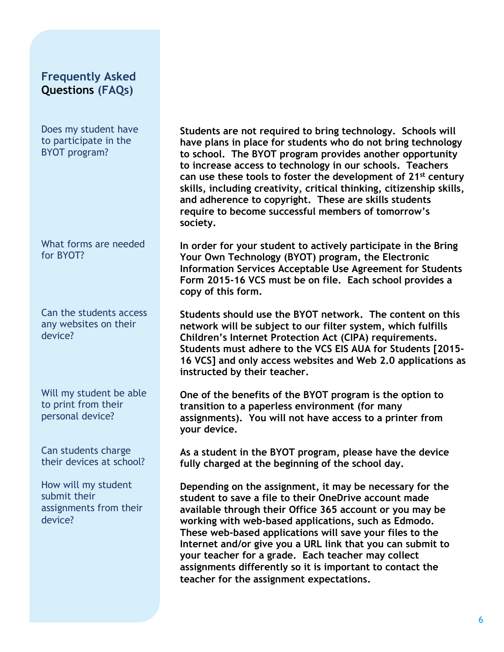#### **Frequently Asked Questions (FAQs)**

Does my student have to participate in the BYOT program?

What forms are needed for BYOT?

Can the students access any websites on their device?

Will my student be able to print from their personal device?

Can students charge their devices at school?

How will my student submit their assignments from their device?

**Students are not required to bring technology. Schools will have plans in place for students who do not bring technology to school. The BYOT program provides another opportunity to increase access to technology in our schools. Teachers can use these tools to foster the development of 21st century skills, including creativity, critical thinking, citizenship skills, and adherence to copyright. These are skills students require to become successful members of tomorrow's society.**

**In order for your student to actively participate in the Bring Your Own Technology (BYOT) program, the Electronic Information Services Acceptable Use Agreement for Students Form 2015-16 VCS must be on file. Each school provides a copy of this form.**

**Students should use the BYOT network. The content on this network will be subject to our filter system, which fulfills Children's Internet Protection Act (CIPA) requirements. Students must adhere to the VCS EIS AUA for Students [2015- 16 VCS] and only access websites and Web 2.0 applications as instructed by their teacher.**

**One of the benefits of the BYOT program is the option to transition to a paperless environment (for many assignments). You will not have access to a printer from your device.** 

**As a student in the BYOT program, please have the device fully charged at the beginning of the school day.**

**Depending on the assignment, it may be necessary for the student to save a file to their OneDrive account made available through their Office 365 account or you may be working with web-based applications, such as Edmodo. These web-based applications will save your files to the Internet and/or give you a URL link that you can submit to your teacher for a grade. Each teacher may collect assignments differently so it is important to contact the teacher for the assignment expectations.**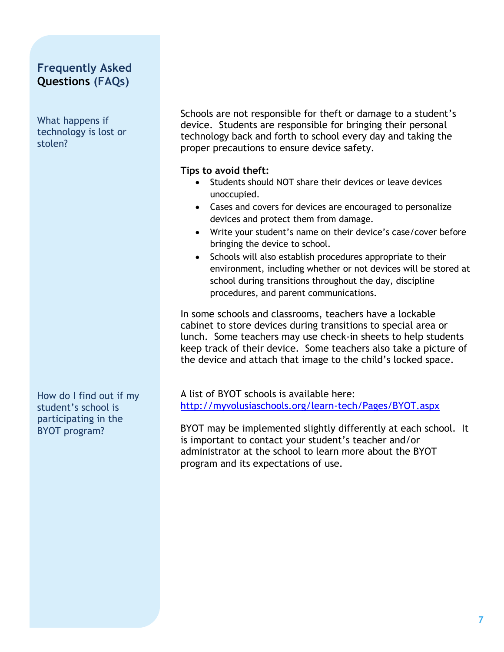### **Frequently Asked Questions (FAQs)**

What happens if technology is lost or stolen?

How do I find out if my student's school is participating in the BYOT program?

Schools are not responsible for theft or damage to a student's device. Students are responsible for bringing their personal technology back and forth to school every day and taking the proper precautions to ensure device safety.

#### **Tips to avoid theft:**

- Students should NOT share their devices or leave devices unoccupied.
- Cases and covers for devices are encouraged to personalize devices and protect them from damage.
- Write your student's name on their device's case/cover before bringing the device to school.
- Schools will also establish procedures appropriate to their environment, including whether or not devices will be stored at school during transitions throughout the day, discipline procedures, and parent communications.

In some schools and classrooms, teachers have a lockable cabinet to store devices during transitions to special area or lunch. Some teachers may use check-in sheets to help students keep track of their device. Some teachers also take a picture of the device and attach that image to the child's locked space.

A list of BYOT schools is available here: <http://myvolusiaschools.org/learn-tech/Pages/BYOT.aspx>

BYOT may be implemented slightly differently at each school. It is important to contact your student's teacher and/or administrator at the school to learn more about the BYOT program and its expectations of use.